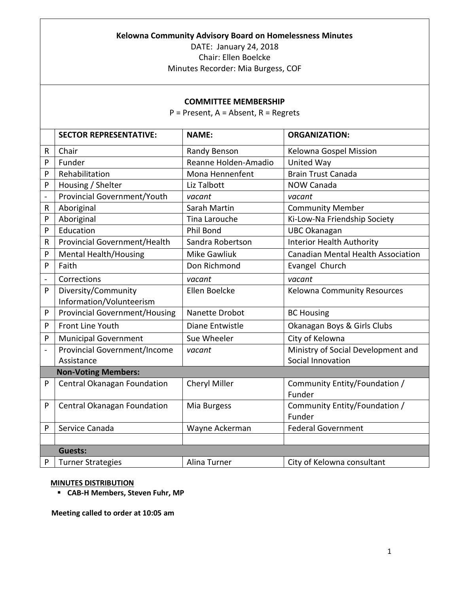## **Kelowna Community Advisory Board on Homelessness Minutes**

DATE: January 24, 2018 Chair: Ellen Boelcke Minutes Recorder: Mia Burgess, COF

## **COMMITTEE MEMBERSHIP**

P = Present, A = Absent, R = Regrets

|                          | <b>SECTOR REPRESENTATIVE:</b>                                | <b>NAME:</b>         | <b>ORGANIZATION:</b>                                              |
|--------------------------|--------------------------------------------------------------|----------------------|-------------------------------------------------------------------|
| R                        | Chair                                                        | Randy Benson         | Kelowna Gospel Mission                                            |
| P                        | Funder                                                       | Reanne Holden-Amadio | United Way                                                        |
| P                        | Rehabilitation                                               | Mona Hennenfent      | <b>Brain Trust Canada</b>                                         |
| P                        | Housing / Shelter                                            | Liz Talbott          | <b>NOW Canada</b>                                                 |
| $\overline{a}$           | Provincial Government/Youth                                  | vacant               | vacant                                                            |
| R                        | Aboriginal                                                   | Sarah Martin         | <b>Community Member</b>                                           |
| P                        | Aboriginal                                                   | Tina Larouche        | Ki-Low-Na Friendship Society                                      |
| P                        | Education                                                    | Phil Bond            | <b>UBC Okanagan</b>                                               |
| R                        | Provincial Government/Health                                 | Sandra Robertson     | <b>Interior Health Authority</b>                                  |
| P                        | <b>Mental Health/Housing</b>                                 | <b>Mike Gawliuk</b>  | <b>Canadian Mental Health Association</b>                         |
| P                        | Faith                                                        | Don Richmond         | Evangel Church                                                    |
| $\overline{\phantom{0}}$ | Corrections                                                  | vacant               | vacant                                                            |
| P                        | Diversity/Community                                          | Ellen Boelcke        | Kelowna Community Resources                                       |
|                          | Information/Volunteerism                                     |                      |                                                                   |
| P                        | <b>Provincial Government/Housing</b>                         | Nanette Drobot       | <b>BC Housing</b>                                                 |
| P                        | Front Line Youth                                             | Diane Entwistle      | Okanagan Boys & Girls Clubs                                       |
| P                        | <b>Municipal Government</b>                                  | Sue Wheeler          | City of Kelowna                                                   |
| $\overline{a}$           | <b>Provincial Government/Income</b>                          | vacant               | Ministry of Social Development and                                |
|                          | Assistance                                                   |                      | Social Innovation                                                 |
|                          | <b>Non-Voting Members:</b>                                   |                      |                                                                   |
| P                        | Central Okanagan Foundation                                  | Cheryl Miller        | Community Entity/Foundation /<br>Funder                           |
| P                        | Central Okanagan Foundation                                  | Mia Burgess          | Community Entity/Foundation /                                     |
|                          |                                                              |                      |                                                                   |
|                          |                                                              |                      |                                                                   |
|                          |                                                              |                      |                                                                   |
| P                        |                                                              | Alina Turner         |                                                                   |
| P                        | Service Canada<br><b>Guests:</b><br><b>Turner Strategies</b> | Wayne Ackerman       | Funder<br><b>Federal Government</b><br>City of Kelowna consultant |

## **MINUTES DISTRIBUTION**

**CAB-H Members, Steven Fuhr, MP**

**Meeting called to order at 10:05 am**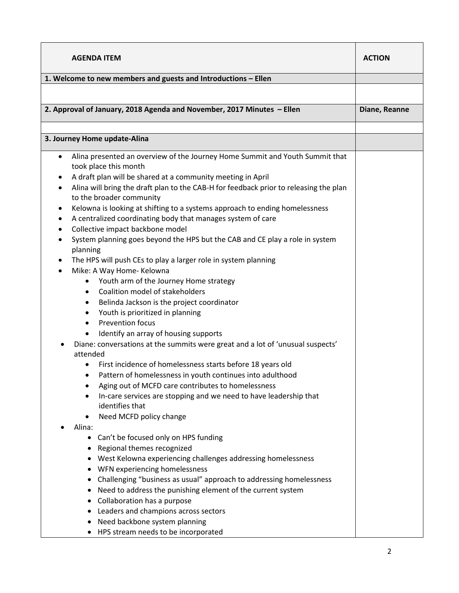| <b>AGENDA ITEM</b>                                                                                                 | <b>ACTION</b> |
|--------------------------------------------------------------------------------------------------------------------|---------------|
| 1. Welcome to new members and guests and Introductions - Ellen                                                     |               |
|                                                                                                                    |               |
|                                                                                                                    |               |
| 2. Approval of January, 2018 Agenda and November, 2017 Minutes - Ellen                                             | Diane, Reanne |
|                                                                                                                    |               |
| 3. Journey Home update-Alina                                                                                       |               |
| Alina presented an overview of the Journey Home Summit and Youth Summit that<br>$\bullet$<br>took place this month |               |
| A draft plan will be shared at a community meeting in April<br>٠                                                   |               |
| Alina will bring the draft plan to the CAB-H for feedback prior to releasing the plan<br>٠                         |               |
| to the broader community                                                                                           |               |
| Kelowna is looking at shifting to a systems approach to ending homelessness<br>٠                                   |               |
| A centralized coordinating body that manages system of care<br>٠<br>Collective impact backbone model<br>٠          |               |
| System planning goes beyond the HPS but the CAB and CE play a role in system<br>$\bullet$                          |               |
| planning                                                                                                           |               |
| The HPS will push CEs to play a larger role in system planning<br>$\bullet$                                        |               |
| Mike: A Way Home- Kelowna<br>٠                                                                                     |               |
| Youth arm of the Journey Home strategy                                                                             |               |
| Coalition model of stakeholders<br>$\bullet$                                                                       |               |
| Belinda Jackson is the project coordinator<br>٠                                                                    |               |
| Youth is prioritized in planning<br>٠                                                                              |               |
| <b>Prevention focus</b><br>$\bullet$                                                                               |               |
| Identify an array of housing supports<br>٠                                                                         |               |
| Diane: conversations at the summits were great and a lot of 'unusual suspects'                                     |               |
| attended                                                                                                           |               |
| First incidence of homelessness starts before 18 years old<br>٠                                                    |               |
| Pattern of homelessness in youth continues into adulthood<br>Aging out of MCFD care contributes to homelessness    |               |
| In-care services are stopping and we need to have leadership that<br>$\bullet$                                     |               |
| identifies that                                                                                                    |               |
| Need MCFD policy change<br>٠                                                                                       |               |
| Alina:                                                                                                             |               |
| • Can't be focused only on HPS funding                                                                             |               |
| Regional themes recognized                                                                                         |               |
| West Kelowna experiencing challenges addressing homelessness<br>$\bullet$                                          |               |
| WFN experiencing homelessness<br>$\bullet$                                                                         |               |
| Challenging "business as usual" approach to addressing homelessness<br>٠                                           |               |
| Need to address the punishing element of the current system<br>$\bullet$                                           |               |
| Collaboration has a purpose                                                                                        |               |
| Leaders and champions across sectors                                                                               |               |
| Need backbone system planning<br>$\bullet$                                                                         |               |
| HPS stream needs to be incorporated                                                                                |               |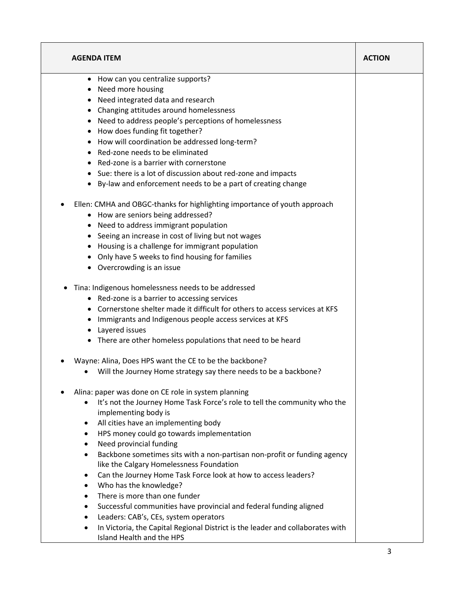| • How can you centralize supports?                                                                                        |  |
|---------------------------------------------------------------------------------------------------------------------------|--|
| • Need more housing                                                                                                       |  |
| Need integrated data and research                                                                                         |  |
| Changing attitudes around homelessness<br>٠                                                                               |  |
| Need to address people's perceptions of homelessness                                                                      |  |
| • How does funding fit together?                                                                                          |  |
| • How will coordination be addressed long-term?                                                                           |  |
| Red-zone needs to be eliminated                                                                                           |  |
| Red-zone is a barrier with cornerstone                                                                                    |  |
| • Sue: there is a lot of discussion about red-zone and impacts                                                            |  |
| • By-law and enforcement needs to be a part of creating change                                                            |  |
| Ellen: CMHA and OBGC-thanks for highlighting importance of youth approach<br>٠                                            |  |
| • How are seniors being addressed?                                                                                        |  |
| • Need to address immigrant population                                                                                    |  |
| • Seeing an increase in cost of living but not wages                                                                      |  |
| Housing is a challenge for immigrant population                                                                           |  |
| Only have 5 weeks to find housing for families<br>$\bullet$                                                               |  |
| • Overcrowding is an issue                                                                                                |  |
| Tina: Indigenous homelessness needs to be addressed<br>٠                                                                  |  |
| • Red-zone is a barrier to accessing services                                                                             |  |
| Cornerstone shelter made it difficult for others to access services at KFS                                                |  |
| Immigrants and Indigenous people access services at KFS                                                                   |  |
| • Layered issues                                                                                                          |  |
| • There are other homeless populations that need to be heard                                                              |  |
| Wayne: Alina, Does HPS want the CE to be the backbone?                                                                    |  |
| Will the Journey Home strategy say there needs to be a backbone?                                                          |  |
| Alina: paper was done on CE role in system planning                                                                       |  |
| It's not the Journey Home Task Force's role to tell the community who the                                                 |  |
| implementing body is                                                                                                      |  |
| All cities have an implementing body<br>٠                                                                                 |  |
| HPS money could go towards implementation<br>$\bullet$                                                                    |  |
| Need provincial funding                                                                                                   |  |
| Backbone sometimes sits with a non-partisan non-profit or funding agency<br>٠<br>like the Calgary Homelessness Foundation |  |
| Can the Journey Home Task Force look at how to access leaders?<br>٠                                                       |  |
| Who has the knowledge?                                                                                                    |  |
| There is more than one funder<br>$\bullet$                                                                                |  |
| Successful communities have provincial and federal funding aligned<br>٠                                                   |  |
| Leaders: CAB's, CEs, system operators                                                                                     |  |
| In Victoria, the Capital Regional District is the leader and collaborates with                                            |  |
| Island Health and the HPS                                                                                                 |  |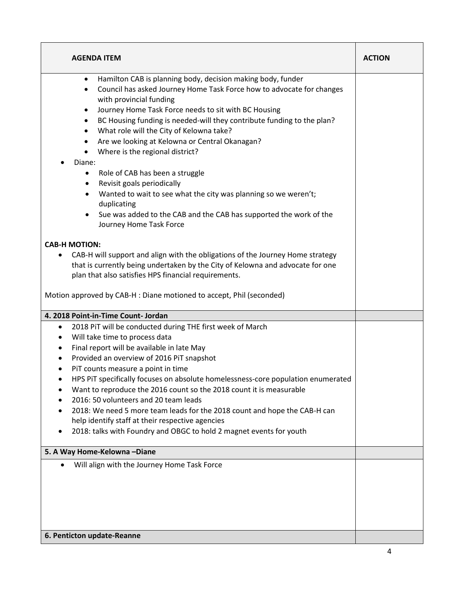| <b>AGENDA ITEM</b>                                                                                                                                                                                                                                                                                                                                                                                                                                                                                                                                                                                                                                                                                                                                                                      | <b>ACTION</b> |
|-----------------------------------------------------------------------------------------------------------------------------------------------------------------------------------------------------------------------------------------------------------------------------------------------------------------------------------------------------------------------------------------------------------------------------------------------------------------------------------------------------------------------------------------------------------------------------------------------------------------------------------------------------------------------------------------------------------------------------------------------------------------------------------------|---------------|
| Hamilton CAB is planning body, decision making body, funder<br>$\bullet$<br>Council has asked Journey Home Task Force how to advocate for changes<br>$\bullet$<br>with provincial funding<br>Journey Home Task Force needs to sit with BC Housing<br>٠<br>BC Housing funding is needed-will they contribute funding to the plan?<br>٠<br>What role will the City of Kelowna take?<br>٠<br>Are we looking at Kelowna or Central Okanagan?<br>٠<br>Where is the regional district?<br>$\bullet$<br>Diane:<br>Role of CAB has been a struggle<br>٠<br>Revisit goals periodically<br>٠<br>Wanted to wait to see what the city was planning so we weren't;<br>٠<br>duplicating<br>Sue was added to the CAB and the CAB has supported the work of the<br>$\bullet$<br>Journey Home Task Force |               |
| <b>CAB-H MOTION:</b><br>CAB-H will support and align with the obligations of the Journey Home strategy<br>that is currently being undertaken by the City of Kelowna and advocate for one<br>plan that also satisfies HPS financial requirements.<br>Motion approved by CAB-H : Diane motioned to accept, Phil (seconded)                                                                                                                                                                                                                                                                                                                                                                                                                                                                |               |
| 4. 2018 Point-in-Time Count- Jordan                                                                                                                                                                                                                                                                                                                                                                                                                                                                                                                                                                                                                                                                                                                                                     |               |
| 2018 PiT will be conducted during THE first week of March<br>٠<br>Will take time to process data<br>٠<br>Final report will be available in late May<br>٠<br>Provided an overview of 2016 PiT snapshot<br>٠<br>PIT counts measure a point in time<br>HPS PIT specifically focuses on absolute homelessness-core population enumerated<br>Want to reproduce the 2016 count so the 2018 count it is measurable<br>2016: 50 volunteers and 20 team leads<br>2018: We need 5 more team leads for the 2018 count and hope the CAB-H can<br>help identify staff at their respective agencies<br>2018: talks with Foundry and OBGC to hold 2 magnet events for youth                                                                                                                            |               |
| 5. A Way Home-Kelowna -Diane                                                                                                                                                                                                                                                                                                                                                                                                                                                                                                                                                                                                                                                                                                                                                            |               |
| Will align with the Journey Home Task Force<br>6. Penticton update-Reanne                                                                                                                                                                                                                                                                                                                                                                                                                                                                                                                                                                                                                                                                                                               |               |